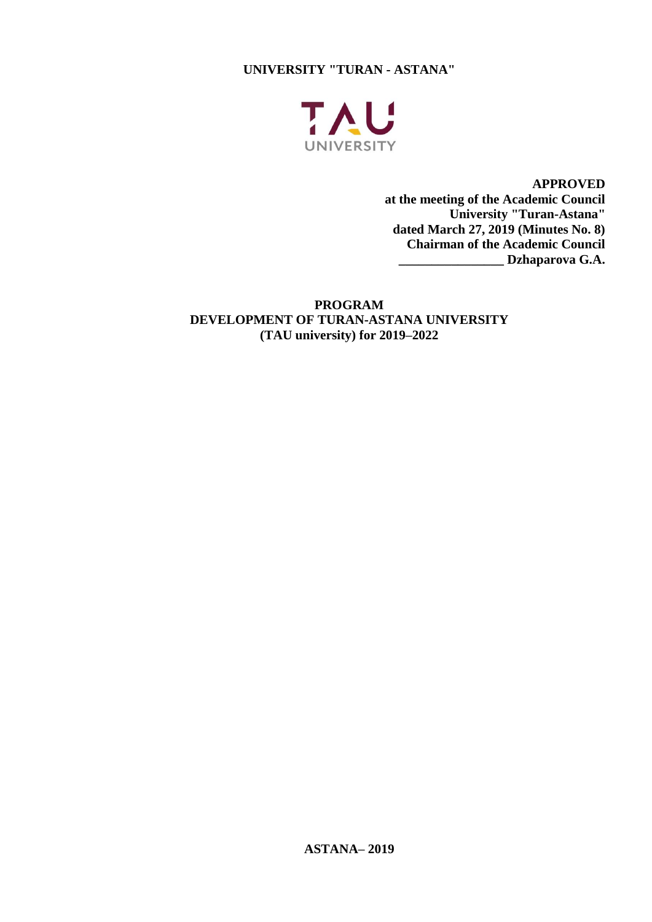**UNIVERSITY "TURAN - ASTANA"**



**APPROVED at the meeting of the Academic Council University "Turan-Astana" dated March 27, 2019 (Minutes No. 8) Chairman of the Academic Council \_\_\_\_\_\_\_\_\_\_\_\_\_\_\_\_ Dzhaparova G.A.**

**PROGRAM DEVELOPMENT OF TURAN-ASTANA UNIVERSITY (TAU university) for 2019–2022**

**ASTANA– 2019**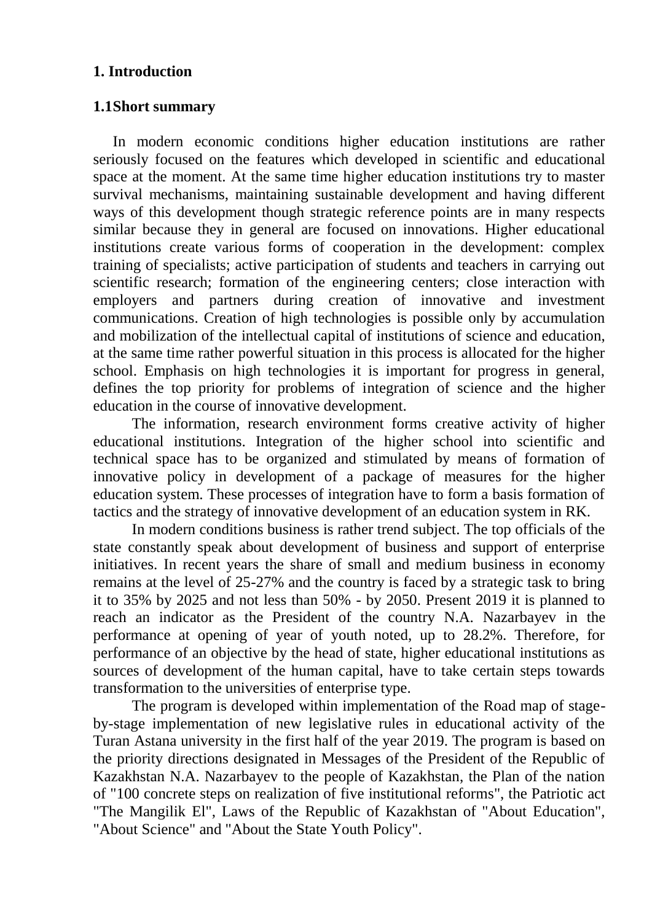### **1. Introduction**

### **1.1Short summary**

In modern economic conditions higher education institutions are rather seriously focused on the features which developed in scientific and educational space at the moment. At the same time higher education institutions try to master survival mechanisms, maintaining sustainable development and having different ways of this development though strategic reference points are in many respects similar because they in general are focused on innovations. Higher educational institutions create various forms of cooperation in the development: complex training of specialists; active participation of students and teachers in carrying out scientific research; formation of the engineering centers; close interaction with employers and partners during creation of innovative and investment communications. Creation of high technologies is possible only by accumulation and mobilization of the intellectual capital of institutions of science and education, at the same time rather powerful situation in this process is allocated for the higher school. Emphasis on high technologies it is important for progress in general, defines the top priority for problems of integration of science and the higher education in the course of innovative development.

The information, research environment forms creative activity of higher educational institutions. Integration of the higher school into scientific and technical space has to be organized and stimulated by means of formation of innovative policy in development of a package of measures for the higher education system. These processes of integration have to form a basis formation of tactics and the strategy of innovative development of an education system in RK.

In modern conditions business is rather trend subject. The top officials of the state constantly speak about development of business and support of enterprise initiatives. In recent years the share of small and medium business in economy remains at the level of 25-27% and the country is faced by a strategic task to bring it to 35% by 2025 and not less than 50% - by 2050. Present 2019 it is planned to reach an indicator as the President of the country N.A. Nazarbayev in the performance at opening of year of youth noted, up to 28.2%. Therefore, for performance of an objective by the head of state, higher educational institutions as sources of development of the human capital, have to take certain steps towards transformation to the universities of enterprise type.

The program is developed within implementation of the Road map of stageby-stage implementation of new legislative rules in educational activity of the Turan Astana university in the first half of the year 2019. The program is based on the priority directions designated in Messages of the President of the Republic of Kazakhstan N.A. Nazarbayev to the people of Kazakhstan, the Plan of the nation of "100 concrete steps on realization of five institutional reforms", the Patriotic act "The Mangilik El", Laws of the Republic of Kazakhstan of "About Education", "About Science" and "About the State Youth Policy".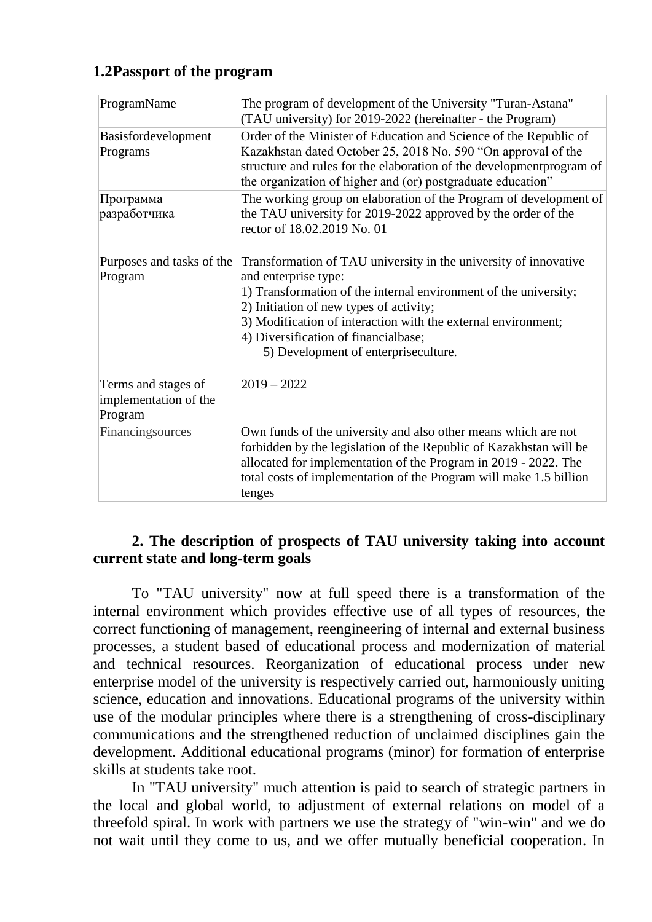## **1.2Passport of the program**

| ProgramName                                             | The program of development of the University "Turan-Astana"<br>(TAU university) for 2019-2022 (hereinafter - the Program)                                                                                                                                                                                                                                |
|---------------------------------------------------------|----------------------------------------------------------------------------------------------------------------------------------------------------------------------------------------------------------------------------------------------------------------------------------------------------------------------------------------------------------|
| Basisfordevelopment<br>Programs                         | Order of the Minister of Education and Science of the Republic of<br>Kazakhstan dated October 25, 2018 No. 590 "On approval of the<br>structure and rules for the elaboration of the development program of<br>the organization of higher and (or) postgraduate education"                                                                               |
| Программа<br>разработчика                               | The working group on elaboration of the Program of development of<br>the TAU university for 2019-2022 approved by the order of the<br>rector of 18.02.2019 No. 01                                                                                                                                                                                        |
| Purposes and tasks of the<br>Program                    | Transformation of TAU university in the university of innovative<br>and enterprise type:<br>1) Transformation of the internal environment of the university;<br>2) Initiation of new types of activity;<br>3) Modification of interaction with the external environment;<br>4) Diversification of financialbase;<br>5) Development of enterpriseculture. |
| Terms and stages of<br>implementation of the<br>Program | $2019 - 2022$                                                                                                                                                                                                                                                                                                                                            |
| Financingsources                                        | Own funds of the university and also other means which are not<br>forbidden by the legislation of the Republic of Kazakhstan will be<br>allocated for implementation of the Program in 2019 - 2022. The<br>total costs of implementation of the Program will make 1.5 billion<br>tenges                                                                  |

#### **2. The description of prospects of TAU university taking into account current state and long-term goals**

To "TAU university" now at full speed there is a transformation of the internal environment which provides effective use of all types of resources, the correct functioning of management, reengineering of internal and external business processes, a student based of educational process and modernization of material and technical resources. Reorganization of educational process under new enterprise model of the university is respectively carried out, harmoniously uniting science, education and innovations. Educational programs of the university within use of the modular principles where there is a strengthening of cross-disciplinary communications and the strengthened reduction of unclaimed disciplines gain the development. Additional educational programs (minor) for formation of enterprise skills at students take root.

In "TAU university" much attention is paid to search of strategic partners in the local and global world, to adjustment of external relations on model of a threefold spiral. In work with partners we use the strategy of "win-win" and we do not wait until they come to us, and we offer mutually beneficial cooperation. In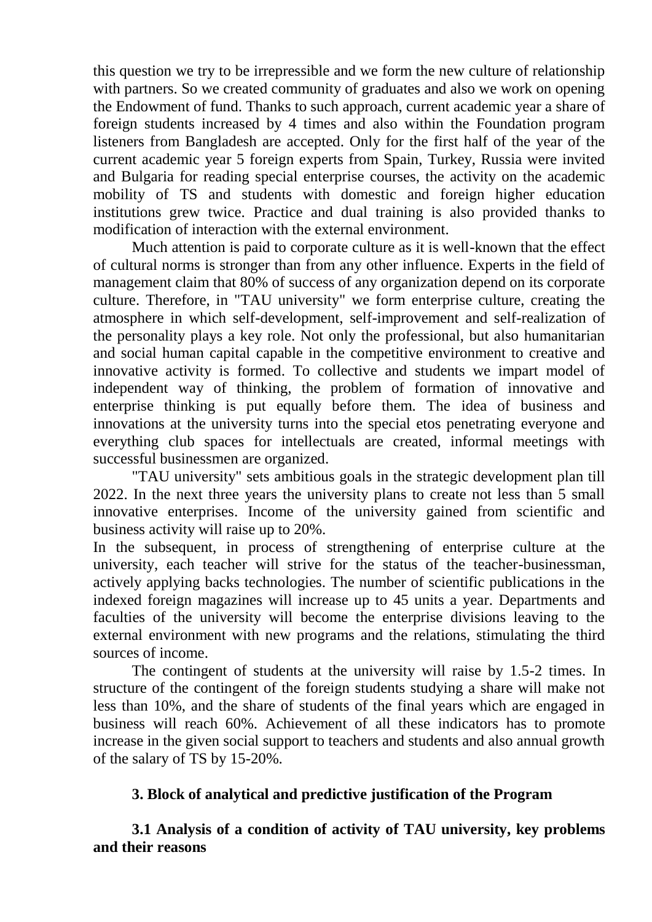this question we try to be irrepressible and we form the new culture of relationship with partners. So we created community of graduates and also we work on opening the Endowment of fund. Thanks to such approach, current academic year a share of foreign students increased by 4 times and also within the Foundation program listeners from Bangladesh are accepted. Only for the first half of the year of the current academic year 5 foreign experts from Spain, Turkey, Russia were invited and Bulgaria for reading special enterprise courses, the activity on the academic mobility of TS and students with domestic and foreign higher education institutions grew twice. Practice and dual training is also provided thanks to modification of interaction with the external environment.

Much attention is paid to corporate culture as it is well-known that the effect of cultural norms is stronger than from any other influence. Experts in the field of management claim that 80% of success of any organization depend on its corporate culture. Therefore, in "TAU university" we form enterprise culture, creating the atmosphere in which self-development, self-improvement and self-realization of the personality plays a key role. Not only the professional, but also humanitarian and social human capital capable in the competitive environment to creative and innovative activity is formed. To collective and students we impart model of independent way of thinking, the problem of formation of innovative and enterprise thinking is put equally before them. The idea of business and innovations at the university turns into the special etos penetrating everyone and everything club spaces for intellectuals are created, informal meetings with successful businessmen are organized.

"TAU university" sets ambitious goals in the strategic development plan till 2022. In the next three years the university plans to create not less than 5 small innovative enterprises. Income of the university gained from scientific and business activity will raise up to 20%.

In the subsequent, in process of strengthening of enterprise culture at the university, each teacher will strive for the status of the teacher-businessman, actively applying backs technologies. The number of scientific publications in the indexed foreign magazines will increase up to 45 units a year. Departments and faculties of the university will become the enterprise divisions leaving to the external environment with new programs and the relations, stimulating the third sources of income.

The contingent of students at the university will raise by 1.5-2 times. In structure of the contingent of the foreign students studying a share will make not less than 10%, and the share of students of the final years which are engaged in business will reach 60%. Achievement of all these indicators has to promote increase in the given social support to teachers and students and also annual growth of the salary of TS by 15-20%.

## **3. Block of analytical and predictive justification of the Program**

**3.1 Analysis of a condition of activity of TAU university, key problems and their reasons**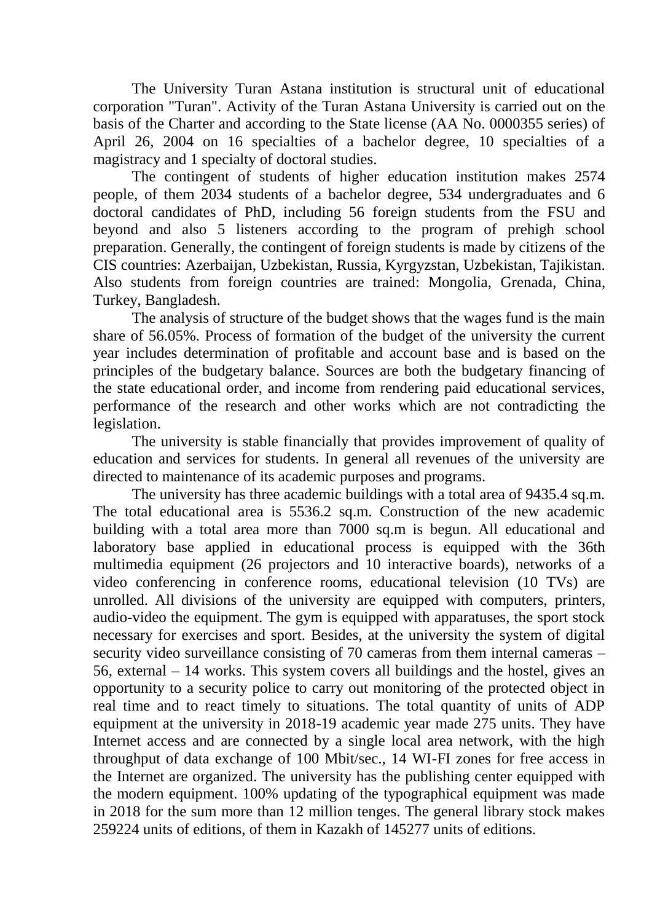The University Turan Astana institution is structural unit of educational corporation "Turan". Activity of the Turan Astana University is carried out on the basis of the Charter and according to the State license (AA No. 0000355 series) of April 26, 2004 on 16 specialties of a bachelor degree, 10 specialties of a magistracy and 1 specialty of doctoral studies.

The contingent of students of higher education institution makes 2574 people, of them 2034 students of a bachelor degree, 534 undergraduates and 6 doctoral candidates of PhD, including 56 foreign students from the FSU and beyond and also 5 listeners according to the program of prehigh school preparation. Generally, the contingent of foreign students is made by citizens of the CIS countries: Azerbaijan, Uzbekistan, Russia, Kyrgyzstan, Uzbekistan, Tajikistan. Also students from foreign countries are trained: Mongolia, Grenada, China, Turkey, Bangladesh.

The analysis of structure of the budget shows that the wages fund is the main share of 56.05%. Process of formation of the budget of the university the current year includes determination of profitable and account base and is based on the principles of the budgetary balance. Sources are both the budgetary financing of the state educational order, and income from rendering paid educational services, performance of the research and other works which are not contradicting the legislation.

The university is stable financially that provides improvement of quality of education and services for students. In general all revenues of the university are directed to maintenance of its academic purposes and programs.

The university has three academic buildings with a total area of 9435.4 sq.m. The total educational area is 5536.2 sq.m. Construction of the new academic building with a total area more than 7000 sq.m is begun. All educational and laboratory base applied in educational process is equipped with the 36th multimedia equipment (26 projectors and 10 interactive boards), networks of a video conferencing in conference rooms, educational television (10 TVs) are unrolled. All divisions of the university are equipped with computers, printers, audio-video the equipment. The gym is equipped with apparatuses, the sport stock necessary for exercises and sport. Besides, at the university the system of digital security video surveillance consisting of 70 cameras from them internal cameras – 56, external – 14 works. This system covers all buildings and the hostel, gives an opportunity to a security police to carry out monitoring of the protected object in real time and to react timely to situations. The total quantity of units of ADP equipment at the university in 2018-19 academic year made 275 units. They have Internet access and are connected by a single local area network, with the high throughput of data exchange of 100 Mbit/sec., 14 WI-FI zones for free access in the Internet are organized. The university has the publishing center equipped with the modern equipment. 100% updating of the typographical equipment was made in 2018 for the sum more than 12 million tenges. The general library stock makes 259224 units of editions, of them in Kazakh of 145277 units of editions.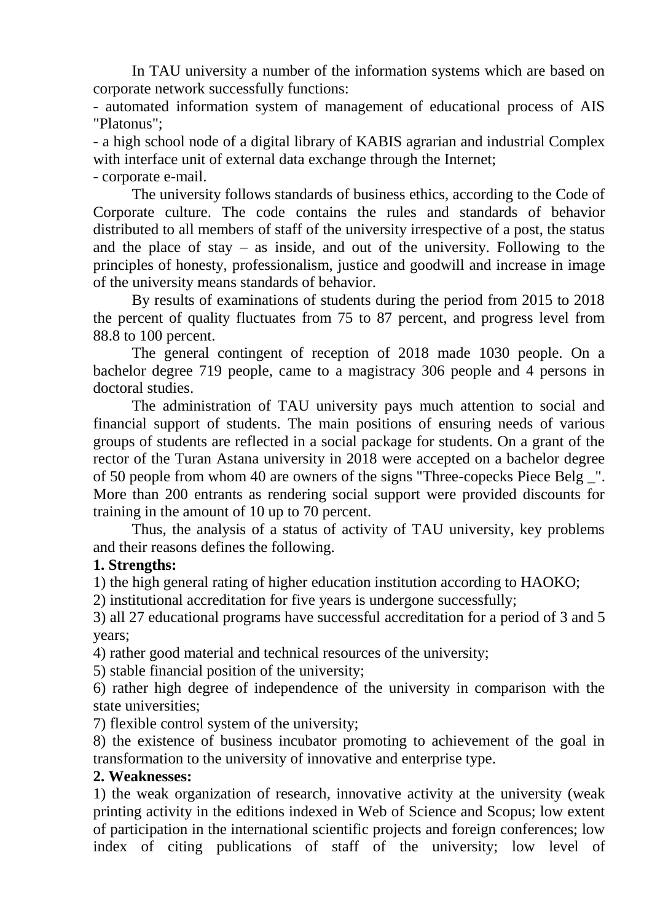In TAU university a number of the information systems which are based on corporate network successfully functions:

- automated information system of management of educational process of AIS "Platonus";

- a high school node of a digital library of KABIS agrarian and industrial Complex with interface unit of external data exchange through the Internet;

- corporate e-mail.

The university follows standards of business ethics, according to the Code of Corporate culture. The code contains the rules and standards of behavior distributed to all members of staff of the university irrespective of a post, the status and the place of stay – as inside, and out of the university. Following to the principles of honesty, professionalism, justice and goodwill and increase in image of the university means standards of behavior.

By results of examinations of students during the period from 2015 to 2018 the percent of quality fluctuates from 75 to 87 percent, and progress level from 88.8 to 100 percent.

The general contingent of reception of 2018 made 1030 people. On a bachelor degree 719 people, came to a magistracy 306 people and 4 persons in doctoral studies.

The administration of TAU university pays much attention to social and financial support of students. The main positions of ensuring needs of various groups of students are reflected in a social package for students. On a grant of the rector of the Turan Astana university in 2018 were accepted on a bachelor degree of 50 people from whom 40 are owners of the signs "Three-copecks Piece Belg \_". More than 200 entrants as rendering social support were provided discounts for training in the amount of 10 up to 70 percent.

Thus, the analysis of a status of activity of TAU university, key problems and their reasons defines the following.

### **1. Strengths:**

1) the high general rating of higher education institution according to HAOKO;

2) institutional accreditation for five years is undergone successfully;

3) all 27 educational programs have successful accreditation for a period of 3 and 5 years;

4) rather good material and technical resources of the university;

5) stable financial position of the university;

6) rather high degree of independence of the university in comparison with the state universities;

7) flexible control system of the university;

8) the existence of business incubator promoting to achievement of the goal in transformation to the university of innovative and enterprise type.

#### **2. Weaknesses:**

1) the weak organization of research, innovative activity at the university (weak printing activity in the editions indexed in Web of Science and Scopus; low extent of participation in the international scientific projects and foreign conferences; low index of citing publications of staff of the university; low level of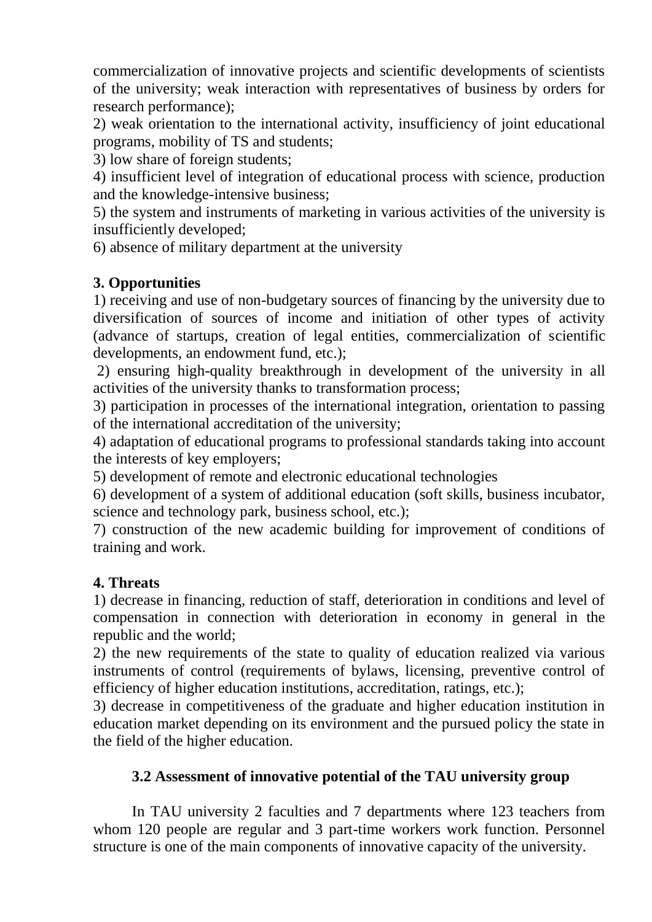commercialization of innovative projects and scientific developments of scientists of the university; weak interaction with representatives of business by orders for research performance);

2) weak orientation to the international activity, insufficiency of joint educational programs, mobility of TS and students;

3) low share of foreign students;

4) insufficient level of integration of educational process with science, production and the knowledge-intensive business;

5) the system and instruments of marketing in various activities of the university is insufficiently developed;

6) absence of military department at the university

# **3. Opportunities**

1) receiving and use of non-budgetary sources of financing by the university due to diversification of sources of income and initiation of other types of activity (advance of startups, creation of legal entities, commercialization of scientific developments, an endowment fund, etc.);

2) ensuring high-quality breakthrough in development of the university in all activities of the university thanks to transformation process;

3) participation in processes of the international integration, orientation to passing of the international accreditation of the university;

4) adaptation of educational programs to professional standards taking into account the interests of key employers;

5) development of remote and electronic educational technologies

6) development of a system of additional education (soft skills, business incubator, science and technology park, business school, etc.);

7) construction of the new academic building for improvement of conditions of training and work.

## **4. Threats**

1) decrease in financing, reduction of staff, deterioration in conditions and level of compensation in connection with deterioration in economy in general in the republic and the world;

2) the new requirements of the state to quality of education realized via various instruments of control (requirements of bylaws, licensing, preventive control of efficiency of higher education institutions, accreditation, ratings, etc.);

3) decrease in competitiveness of the graduate and higher education institution in education market depending on its environment and the pursued policy the state in the field of the higher education.

## **3.2 Assessment of innovative potential of the TAU university group**

In TAU university 2 faculties and 7 departments where 123 teachers from whom 120 people are regular and 3 part-time workers work function. Personnel structure is one of the main components of innovative capacity of the university.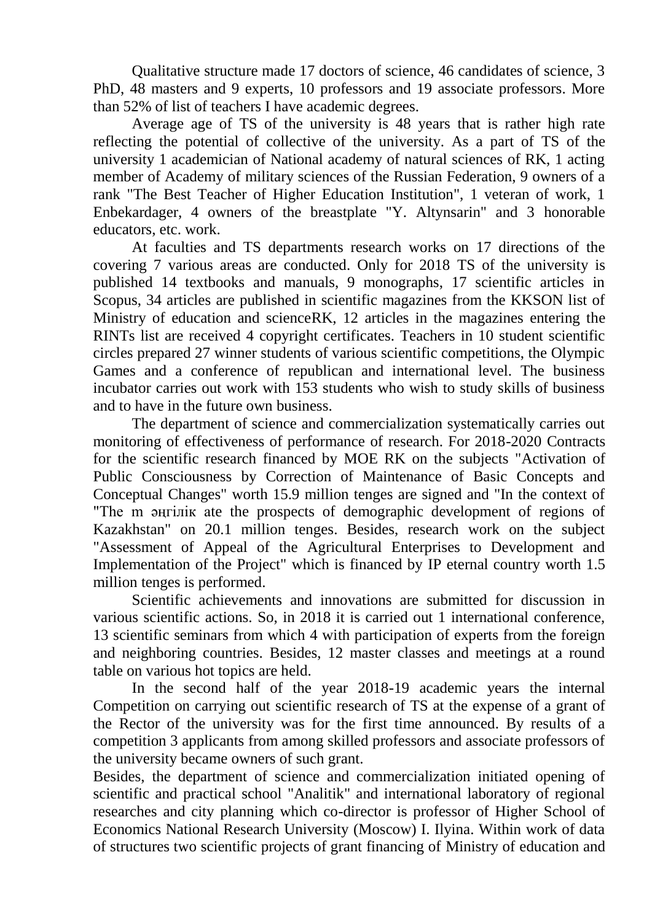Qualitative structure made 17 doctors of science, 46 candidates of science, 3 PhD, 48 masters and 9 experts, 10 professors and 19 associate professors. More than 52% of list of teachers I have academic degrees.

Average age of TS of the university is 48 years that is rather high rate reflecting the potential of collective of the university. As a part of TS of the university 1 academician of National academy of natural sciences of RK, 1 acting member of Academy of military sciences of the Russian Federation, 9 owners of a rank "The Best Teacher of Higher Education Institution", 1 veteran of work, 1 Enbekardager, 4 owners of the breastplate "Y. Altynsarin" and 3 honorable educators, etc. work.

At faculties and TS departments research works on 17 directions of the covering 7 various areas are conducted. Only for 2018 TS of the university is published 14 textbooks and manuals, 9 monographs, 17 scientific articles in Scopus, 34 articles are published in scientific magazines from the KKSON list of Ministry of education and scienceRK, 12 articles in the magazines entering the RINTs list are received 4 copyright certificates. Teachers in 10 student scientific circles prepared 27 winner students of various scientific competitions, the Olympic Games and a conference of republican and international level. The business incubator carries out work with 153 students who wish to study skills of business and to have in the future own business.

The department of science and commercialization systematically carries out monitoring of effectiveness of performance of research. For 2018-2020 Contracts for the scientific research financed by MOE RK on the subjects "Activation of Public Consciousness by Correction of Maintenance of Basic Concepts and Conceptual Changes" worth 15.9 million tenges are signed and "In the context of "The m әңгілік ate the prospects of demographic development of regions of Kazakhstan" on 20.1 million tenges. Besides, research work on the subject "Assessment of Appeal of the Agricultural Enterprises to Development and Implementation of the Project" which is financed by IP eternal country worth 1.5 million tenges is performed.

Scientific achievements and innovations are submitted for discussion in various scientific actions. So, in 2018 it is carried out 1 international conference, 13 scientific seminars from which 4 with participation of experts from the foreign and neighboring countries. Besides, 12 master classes and meetings at a round table on various hot topics are held.

In the second half of the year 2018-19 academic years the internal Competition on carrying out scientific research of TS at the expense of a grant of the Rector of the university was for the first time announced. By results of a competition 3 applicants from among skilled professors and associate professors of the university became owners of such grant.

Besides, the department of science and commercialization initiated opening of scientific and practical school "Analitik" and international laboratory of regional researches and city planning which co-director is professor of Higher School of Economics National Research University (Moscow) I. Ilyina. Within work of data of structures two scientific projects of grant financing of Ministry of education and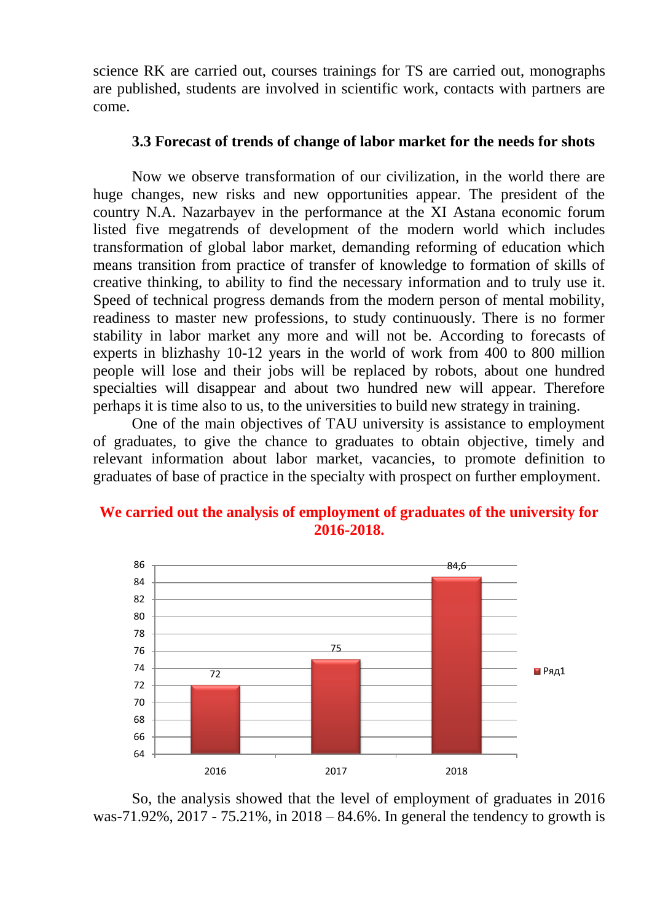science RK are carried out, courses trainings for TS are carried out, monographs are published, students are involved in scientific work, contacts with partners are come.

#### **3.3 Forecast of trends of change of labor market for the needs for shots**

Now we observe transformation of our civilization, in the world there are huge changes, new risks and new opportunities appear. The president of the country N.A. Nazarbayev in the performance at the XI Astana economic forum listed five megatrends of development of the modern world which includes transformation of global labor market, demanding reforming of education which means transition from practice of transfer of knowledge to formation of skills of creative thinking, to ability to find the necessary information and to truly use it. Speed of technical progress demands from the modern person of mental mobility, readiness to master new professions, to study continuously. There is no former stability in labor market any more and will not be. According to forecasts of experts in blizhashy 10-12 years in the world of work from 400 to 800 million people will lose and their jobs will be replaced by robots, about one hundred specialties will disappear and about two hundred new will appear. Therefore perhaps it is time also to us, to the universities to build new strategy in training.

One of the main objectives of TAU university is assistance to employment of graduates, to give the chance to graduates to obtain objective, timely and relevant information about labor market, vacancies, to promote definition to graduates of base of practice in the specialty with prospect on further employment.

#### **We carried out the analysis of employment of graduates of the university for 2016-2018.**



So, the analysis showed that the level of employment of graduates in 2016 was-71.92%, 2017 - 75.21%, in 2018 – 84.6%. In general the tendency to growth is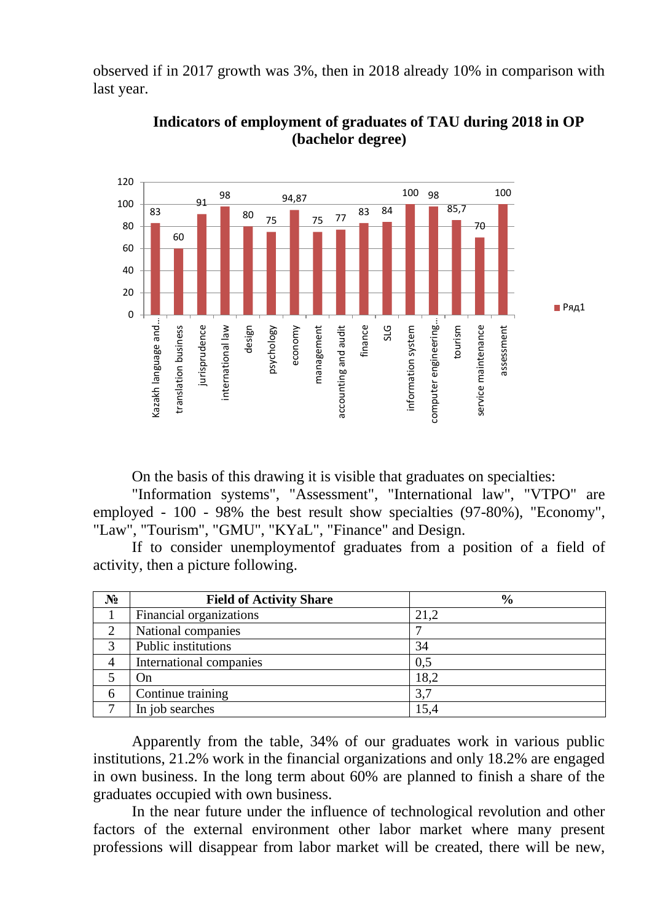observed if in 2017 growth was 3%, then in 2018 already 10% in comparison with last year.



**Indicators of employment of graduates of TAU during 2018 in OP (bachelor degree)**

On the basis of this drawing it is visible that graduates on specialties:

"Information systems", "Assessment", "International law", "VTPO" are employed - 100 - 98% the best result show specialties (97-80%), "Economy", "Law", "Tourism", "GMU", "KYaL", "Finance" and Design.

If to consider unemploymentof graduates from a position of a field of activity, then a picture following.

| $N_2$ | <b>Field of Activity Share</b> | $\frac{0}{0}$ |
|-------|--------------------------------|---------------|
|       | Financial organizations        | 21,2          |
|       | National companies             |               |
| 3     | Public institutions            | 34            |
| 4     | International companies        | 0,5           |
|       | On)                            | 18,2          |
| 6     | Continue training              | 3,7           |
|       | In job searches                | 15,4          |

Apparently from the table, 34% of our graduates work in various public institutions, 21.2% work in the financial organizations and only 18.2% are engaged in own business. In the long term about 60% are planned to finish a share of the graduates occupied with own business.

In the near future under the influence of technological revolution and other factors of the external environment other labor market where many present professions will disappear from labor market will be created, there will be new,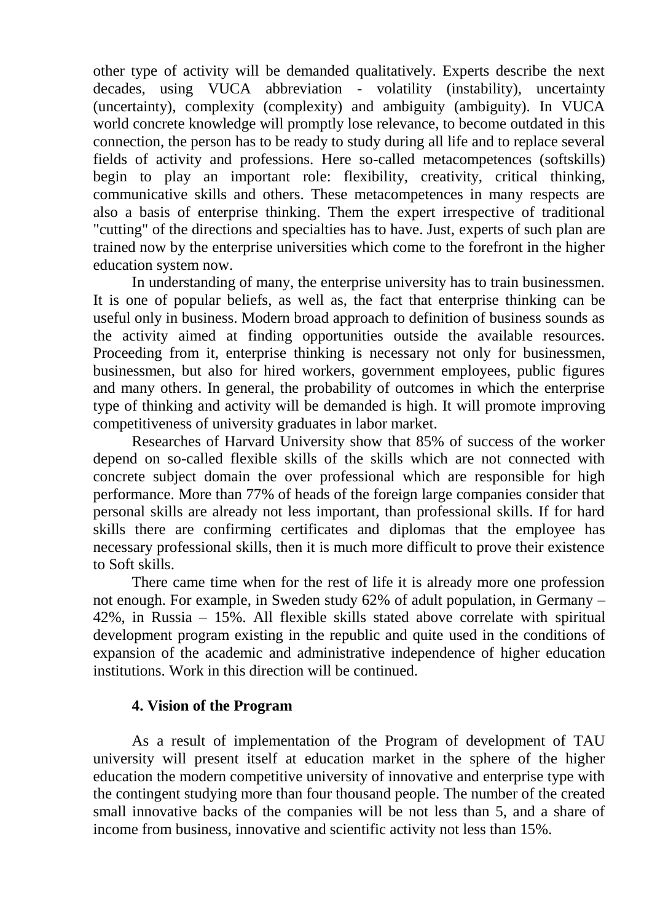other type of activity will be demanded qualitatively. Experts describe the next decades, using VUCA abbreviation - volatility (instability), uncertainty (uncertainty), complexity (complexity) and ambiguity (ambiguity). In VUCA world concrete knowledge will promptly lose relevance, to become outdated in this connection, the person has to be ready to study during all life and to replace several fields of activity and professions. Here so-called metacompetences (softskills) begin to play an important role: flexibility, creativity, critical thinking, communicative skills and others. These metacompetences in many respects are also a basis of enterprise thinking. Them the expert irrespective of traditional "cutting" of the directions and specialties has to have. Just, experts of such plan are trained now by the enterprise universities which come to the forefront in the higher education system now.

In understanding of many, the enterprise university has to train businessmen. It is one of popular beliefs, as well as, the fact that enterprise thinking can be useful only in business. Modern broad approach to definition of business sounds as the activity aimed at finding opportunities outside the available resources. Proceeding from it, enterprise thinking is necessary not only for businessmen, businessmen, but also for hired workers, government employees, public figures and many others. In general, the probability of outcomes in which the enterprise type of thinking and activity will be demanded is high. It will promote improving competitiveness of university graduates in labor market.

Researches of Harvard University show that 85% of success of the worker depend on so-called flexible skills of the skills which are not connected with concrete subject domain the over professional which are responsible for high performance. More than 77% of heads of the foreign large companies consider that personal skills are already not less important, than professional skills. If for hard skills there are confirming certificates and diplomas that the employee has necessary professional skills, then it is much more difficult to prove their existence to Soft skills.

There came time when for the rest of life it is already more one profession not enough. For example, in Sweden study 62% of adult population, in Germany – 42%, in Russia – 15%. All flexible skills stated above correlate with spiritual development program existing in the republic and quite used in the conditions of expansion of the academic and administrative independence of higher education institutions. Work in this direction will be continued.

#### **4. Vision of the Program**

As a result of implementation of the Program of development of TAU university will present itself at education market in the sphere of the higher education the modern competitive university of innovative and enterprise type with the contingent studying more than four thousand people. The number of the created small innovative backs of the companies will be not less than 5, and a share of income from business, innovative and scientific activity not less than 15%.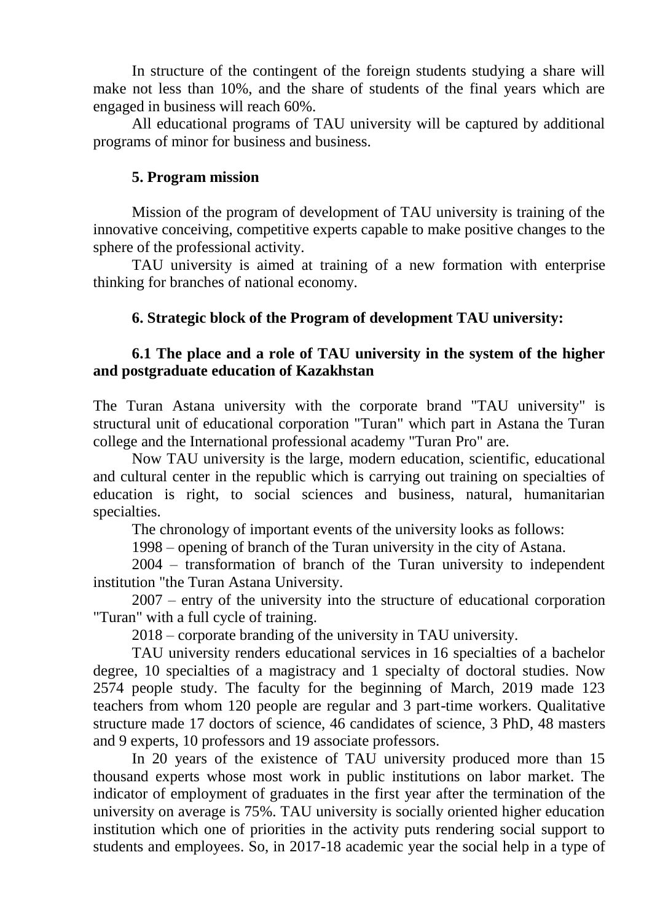In structure of the contingent of the foreign students studying a share will make not less than 10%, and the share of students of the final years which are engaged in business will reach 60%.

All educational programs of TAU university will be captured by additional programs of minor for business and business.

#### **5. Program mission**

Mission of the program of development of TAU university is training of the innovative conceiving, competitive experts capable to make positive changes to the sphere of the professional activity.

TAU university is aimed at training of a new formation with enterprise thinking for branches of national economy.

### **6. Strategic block of the Program of development TAU university:**

### **6.1 The place and a role of TAU university in the system of the higher and postgraduate education of Kazakhstan**

The Turan Astana university with the corporate brand "TAU university" is structural unit of educational corporation "Turan" which part in Astana the Turan college and the International professional academy "Turan Pro" are.

Now TAU university is the large, modern education, scientific, educational and cultural center in the republic which is carrying out training on specialties of education is right, to social sciences and business, natural, humanitarian specialties.

The chronology of important events of the university looks as follows:

1998 – opening of branch of the Turan university in the city of Astana.

2004 – transformation of branch of the Turan university to independent institution "the Turan Astana University.

2007 – entry of the university into the structure of educational corporation "Turan" with a full cycle of training.

2018 – corporate branding of the university in TAU university.

TAU university renders educational services in 16 specialties of a bachelor degree, 10 specialties of a magistracy and 1 specialty of doctoral studies. Now 2574 people study. The faculty for the beginning of March, 2019 made 123 teachers from whom 120 people are regular and 3 part-time workers. Qualitative structure made 17 doctors of science, 46 candidates of science, 3 PhD, 48 masters and 9 experts, 10 professors and 19 associate professors.

In 20 years of the existence of TAU university produced more than 15 thousand experts whose most work in public institutions on labor market. The indicator of employment of graduates in the first year after the termination of the university on average is 75%. TAU university is socially oriented higher education institution which one of priorities in the activity puts rendering social support to students and employees. So, in 2017-18 academic year the social help in a type of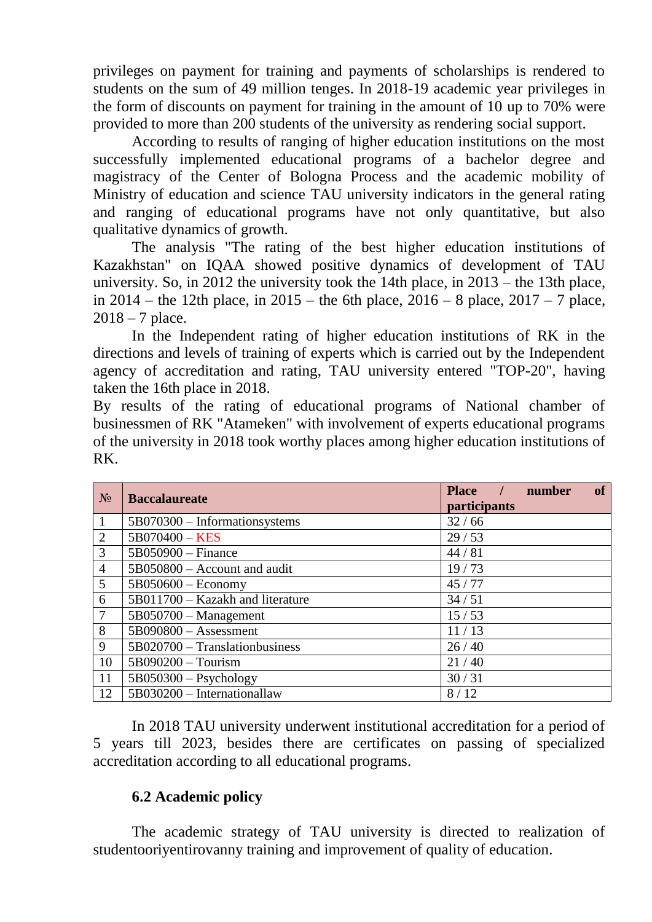privileges on payment for training and payments of scholarships is rendered to students on the sum of 49 million tenges. In 2018-19 academic year privileges in the form of discounts on payment for training in the amount of 10 up to 70% were provided to more than 200 students of the university as rendering social support.

According to results of ranging of higher education institutions on the most successfully implemented educational programs of a bachelor degree and magistracy of the Center of Bologna Process and the academic mobility of Ministry of education and science TAU university indicators in the general rating and ranging of educational programs have not only quantitative, but also qualitative dynamics of growth.

The analysis "The rating of the best higher education institutions of Kazakhstan" on IQAA showed positive dynamics of development of TAU university. So, in 2012 the university took the 14th place, in 2013 – the 13th place, in 2014 – the 12th place, in 2015 – the 6th place, 2016 – 8 place, 2017 – 7 place,  $2018 - 7$  place.

In the Independent rating of higher education institutions of RK in the directions and levels of training of experts which is carried out by the Independent agency of accreditation and rating, TAU university entered "TOP-20", having taken the 16th place in 2018.

By results of the rating of educational programs of National chamber of businessmen of RK "Atameken" with involvement of experts educational programs of the university in 2018 took worthy places among higher education institutions of RK.

| $N_2$          | <b>Baccalaureate</b>             | <b>of</b><br>Place /<br>number<br>participants |
|----------------|----------------------------------|------------------------------------------------|
| 1              | 5B070300 – Informationsystems    | 32/66                                          |
| $\overline{2}$ | $5B070400 - KES$                 | 29/53                                          |
| 3              | $5B050900 - Finance$             | 44/81                                          |
| $\overline{4}$ | 5B050800 – Account and audit     | 19/73                                          |
| 5              | $5B050600 - Economy$             | 45/77                                          |
| 6              | 5B011700 – Kazakh and literature | 34/51                                          |
| $\overline{7}$ | $5B050700 - Management$          | 15/53                                          |
| 8              | $5B090800 -$ Assessment          | 11/13                                          |
| 9              | $5B020700$ – Translationbusiness | 26/40                                          |
| 10             | 5B090200 - Tourism               | 21/40                                          |
| 11             | $5B050300 - Psychology$          | 30/31                                          |
| 12             | 5B030200 - Internationallaw      | 8/12                                           |

In 2018 TAU university underwent institutional accreditation for a period of 5 years till 2023, besides there are certificates on passing of specialized accreditation according to all educational programs.

### **6.2 Academic policy**

The academic strategy of TAU university is directed to realization of studentooriyentirovanny training and improvement of quality of education.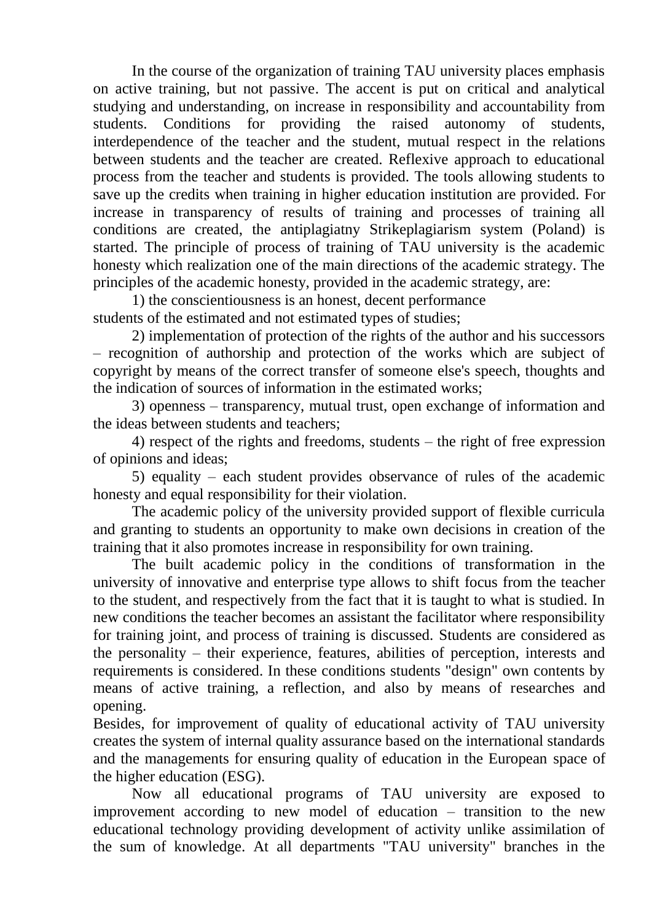In the course of the organization of training TAU university places emphasis on active training, but not passive. The accent is put on critical and analytical studying and understanding, on increase in responsibility and accountability from students. Conditions for providing the raised autonomy of students, interdependence of the teacher and the student, mutual respect in the relations between students and the teacher are created. Reflexive approach to educational process from the teacher and students is provided. The tools allowing students to save up the credits when training in higher education institution are provided. For increase in transparency of results of training and processes of training all conditions are created, the antiplagiatny Strikeplagiarism system (Poland) is started. The principle of process of training of TAU university is the academic honesty which realization one of the main directions of the academic strategy. The principles of the academic honesty, provided in the academic strategy, are:

1) the conscientiousness is an honest, decent performance students of the estimated and not estimated types of studies;

2) implementation of protection of the rights of the author and his successors – recognition of authorship and protection of the works which are subject of copyright by means of the correct transfer of someone else's speech, thoughts and the indication of sources of information in the estimated works;

3) openness – transparency, mutual trust, open exchange of information and the ideas between students and teachers;

4) respect of the rights and freedoms, students – the right of free expression of opinions and ideas;

5) equality – each student provides observance of rules of the academic honesty and equal responsibility for their violation.

The academic policy of the university provided support of flexible curricula and granting to students an opportunity to make own decisions in creation of the training that it also promotes increase in responsibility for own training.

The built academic policy in the conditions of transformation in the university of innovative and enterprise type allows to shift focus from the teacher to the student, and respectively from the fact that it is taught to what is studied. In new conditions the teacher becomes an assistant the facilitator where responsibility for training joint, and process of training is discussed. Students are considered as the personality – their experience, features, abilities of perception, interests and requirements is considered. In these conditions students "design" own contents by means of active training, a reflection, and also by means of researches and opening.

Besides, for improvement of quality of educational activity of TAU university creates the system of internal quality assurance based on the international standards and the managements for ensuring quality of education in the European space of the higher education (ESG).

Now all educational programs of TAU university are exposed to improvement according to new model of education – transition to the new educational technology providing development of activity unlike assimilation of the sum of knowledge. At all departments "TAU university" branches in the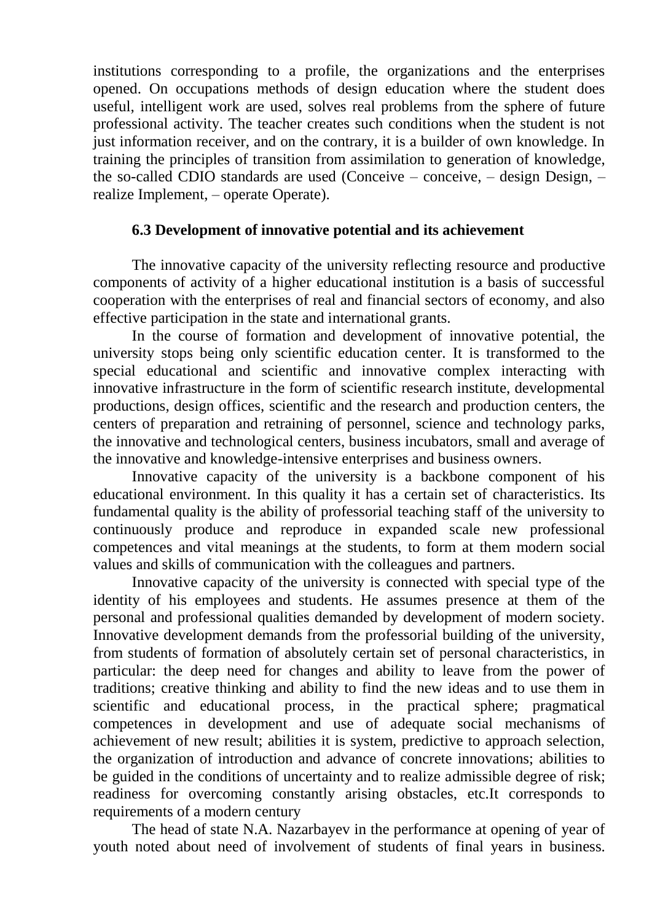institutions corresponding to a profile, the organizations and the enterprises opened. On occupations methods of design education where the student does useful, intelligent work are used, solves real problems from the sphere of future professional activity. The teacher creates such conditions when the student is not just information receiver, and on the contrary, it is a builder of own knowledge. In training the principles of transition from assimilation to generation of knowledge, the so-called CDIO standards are used (Conceive – conceive, – design Design, – realize Implement, – operate Operate).

### **6.3 Development of innovative potential and its achievement**

The innovative capacity of the university reflecting resource and productive components of activity of a higher educational institution is a basis of successful cooperation with the enterprises of real and financial sectors of economy, and also effective participation in the state and international grants.

In the course of formation and development of innovative potential, the university stops being only scientific education center. It is transformed to the special educational and scientific and innovative complex interacting with innovative infrastructure in the form of scientific research institute, developmental productions, design offices, scientific and the research and production centers, the centers of preparation and retraining of personnel, science and technology parks, the innovative and technological centers, business incubators, small and average of the innovative and knowledge-intensive enterprises and business owners.

Innovative capacity of the university is a backbone component of his educational environment. In this quality it has a certain set of characteristics. Its fundamental quality is the ability of professorial teaching staff of the university to continuously produce and reproduce in expanded scale new professional competences and vital meanings at the students, to form at them modern social values and skills of communication with the colleagues and partners.

Innovative capacity of the university is connected with special type of the identity of his employees and students. He assumes presence at them of the personal and professional qualities demanded by development of modern society. Innovative development demands from the professorial building of the university, from students of formation of absolutely certain set of personal characteristics, in particular: the deep need for changes and ability to leave from the power of traditions; creative thinking and ability to find the new ideas and to use them in scientific and educational process, in the practical sphere; pragmatical competences in development and use of adequate social mechanisms of achievement of new result; abilities it is system, predictive to approach selection, the organization of introduction and advance of concrete innovations; abilities to be guided in the conditions of uncertainty and to realize admissible degree of risk; readiness for overcoming constantly arising obstacles, etc.It corresponds to requirements of a modern century

The head of state N.A. Nazarbayev in the performance at opening of year of youth noted about need of involvement of students of final years in business.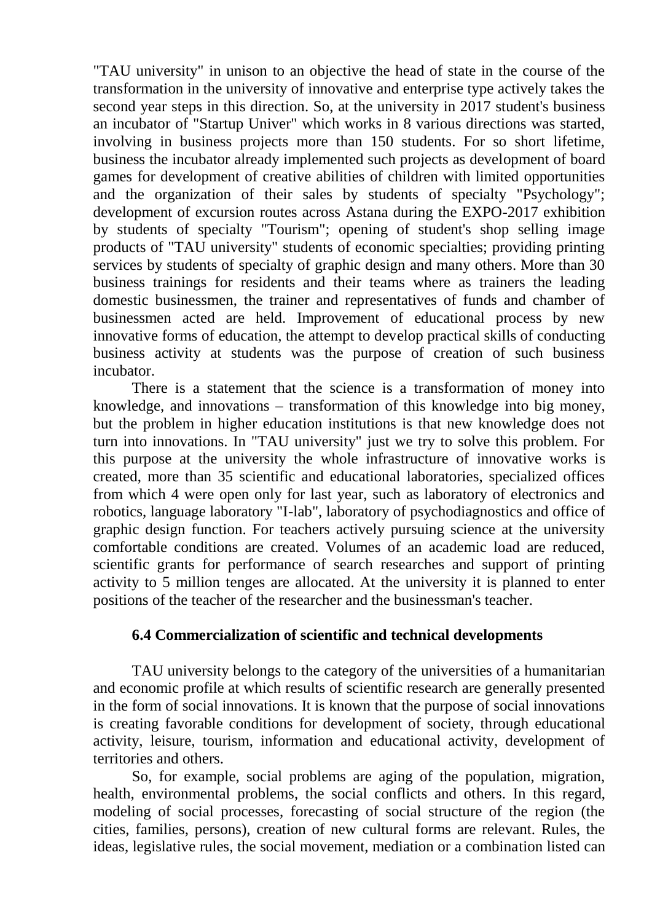"TAU university" in unison to an objective the head of state in the course of the transformation in the university of innovative and enterprise type actively takes the second year steps in this direction. So, at the university in 2017 student's business an incubator of "Startup Univer" which works in 8 various directions was started, involving in business projects more than 150 students. For so short lifetime, business the incubator already implemented such projects as development of board games for development of creative abilities of children with limited opportunities and the organization of their sales by students of specialty "Psychology"; development of excursion routes across Astana during the EXPO-2017 exhibition by students of specialty "Tourism"; opening of student's shop selling image products of "TAU university" students of economic specialties; providing printing services by students of specialty of graphic design and many others. More than 30 business trainings for residents and their teams where as trainers the leading domestic businessmen, the trainer and representatives of funds and chamber of businessmen acted are held. Improvement of educational process by new innovative forms of education, the attempt to develop practical skills of conducting business activity at students was the purpose of creation of such business incubator.

There is a statement that the science is a transformation of money into knowledge, and innovations – transformation of this knowledge into big money, but the problem in higher education institutions is that new knowledge does not turn into innovations. In "TAU university" just we try to solve this problem. For this purpose at the university the whole infrastructure of innovative works is created, more than 35 scientific and educational laboratories, specialized offices from which 4 were open only for last year, such as laboratory of electronics and robotics, language laboratory "I-lab", laboratory of psychodiagnostics and office of graphic design function. For teachers actively pursuing science at the university comfortable conditions are created. Volumes of an academic load are reduced, scientific grants for performance of search researches and support of printing activity to 5 million tenges are allocated. At the university it is planned to enter positions of the teacher of the researcher and the businessman's teacher.

#### **6.4 Commercialization of scientific and technical developments**

TAU university belongs to the category of the universities of a humanitarian and economic profile at which results of scientific research are generally presented in the form of social innovations. It is known that the purpose of social innovations is creating favorable conditions for development of society, through educational activity, leisure, tourism, information and educational activity, development of territories and others.

So, for example, social problems are aging of the population, migration, health, environmental problems, the social conflicts and others. In this regard, modeling of social processes, forecasting of social structure of the region (the cities, families, persons), creation of new cultural forms are relevant. Rules, the ideas, legislative rules, the social movement, mediation or a combination listed can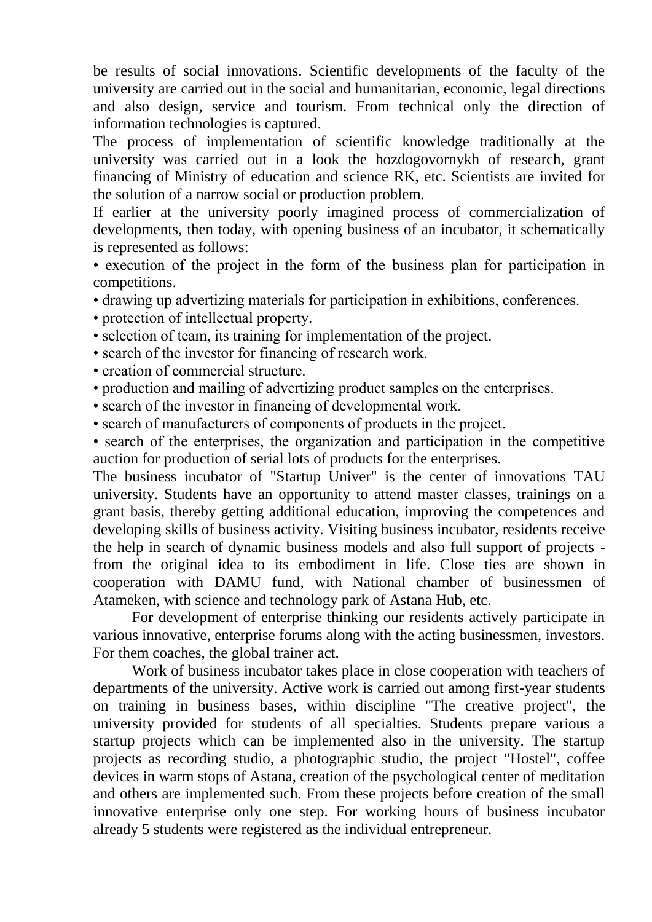be results of social innovations. Scientific developments of the faculty of the university are carried out in the social and humanitarian, economic, legal directions and also design, service and tourism. From technical only the direction of information technologies is captured.

The process of implementation of scientific knowledge traditionally at the university was carried out in a look the hozdogovornykh of research, grant financing of Ministry of education and science RK, etc. Scientists are invited for the solution of a narrow social or production problem.

If earlier at the university poorly imagined process of commercialization of developments, then today, with opening business of an incubator, it schematically is represented as follows:

• execution of the project in the form of the business plan for participation in competitions.

• drawing up advertizing materials for participation in exhibitions, conferences.

- protection of intellectual property.
- selection of team, its training for implementation of the project.
- search of the investor for financing of research work.
- creation of commercial structure.
- production and mailing of advertizing product samples on the enterprises.
- search of the investor in financing of developmental work.
- search of manufacturers of components of products in the project.

• search of the enterprises, the organization and participation in the competitive auction for production of serial lots of products for the enterprises.

The business incubator of "Startup Univer" is the center of innovations TAU university. Students have an opportunity to attend master classes, trainings on a grant basis, thereby getting additional education, improving the competences and developing skills of business activity. Visiting business incubator, residents receive the help in search of dynamic business models and also full support of projects from the original idea to its embodiment in life. Close ties are shown in cooperation with DAMU fund, with National chamber of businessmen of Atameken, with science and technology park of Astana Hub, etc.

For development of enterprise thinking our residents actively participate in various innovative, enterprise forums along with the acting businessmen, investors. For them coaches, the global trainer act.

Work of business incubator takes place in close cooperation with teachers of departments of the university. Active work is carried out among first-year students on training in business bases, within discipline "The creative project", the university provided for students of all specialties. Students prepare various a startup projects which can be implemented also in the university. The startup projects as recording studio, a photographic studio, the project "Hostel", coffee devices in warm stops of Astana, creation of the psychological center of meditation and others are implemented such. From these projects before creation of the small innovative enterprise only one step. For working hours of business incubator already 5 students were registered as the individual entrepreneur.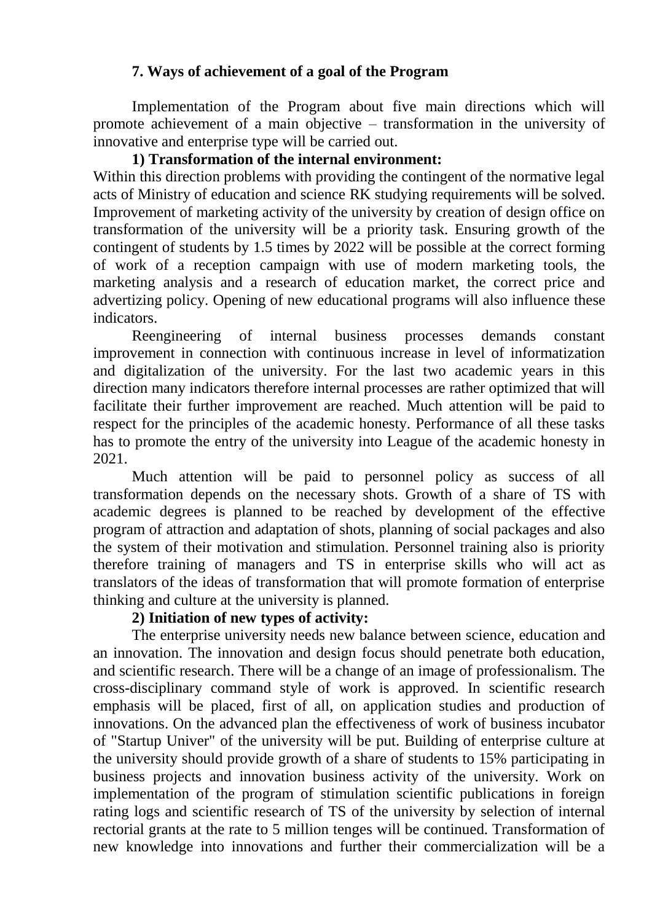### **7. Ways of achievement of a goal of the Program**

Implementation of the Program about five main directions which will promote achievement of a main objective – transformation in the university of innovative and enterprise type will be carried out.

## **1) Transformation of the internal environment:**

Within this direction problems with providing the contingent of the normative legal acts of Ministry of education and science RK studying requirements will be solved. Improvement of marketing activity of the university by creation of design office on transformation of the university will be a priority task. Ensuring growth of the contingent of students by 1.5 times by 2022 will be possible at the correct forming of work of a reception campaign with use of modern marketing tools, the marketing analysis and a research of education market, the correct price and advertizing policy. Opening of new educational programs will also influence these indicators.

Reengineering of internal business processes demands constant improvement in connection with continuous increase in level of informatization and digitalization of the university. For the last two academic years in this direction many indicators therefore internal processes are rather optimized that will facilitate their further improvement are reached. Much attention will be paid to respect for the principles of the academic honesty. Performance of all these tasks has to promote the entry of the university into League of the academic honesty in 2021.

Much attention will be paid to personnel policy as success of all transformation depends on the necessary shots. Growth of a share of TS with academic degrees is planned to be reached by development of the effective program of attraction and adaptation of shots, planning of social packages and also the system of their motivation and stimulation. Personnel training also is priority therefore training of managers and TS in enterprise skills who will act as translators of the ideas of transformation that will promote formation of enterprise thinking and culture at the university is planned.

### **2) Initiation of new types of activity:**

The enterprise university needs new balance between science, education and an innovation. The innovation and design focus should penetrate both education, and scientific research. There will be a change of an image of professionalism. The cross-disciplinary command style of work is approved. In scientific research emphasis will be placed, first of all, on application studies and production of innovations. On the advanced plan the effectiveness of work of business incubator of "Startup Univer" of the university will be put. Building of enterprise culture at the university should provide growth of a share of students to 15% participating in business projects and innovation business activity of the university. Work on implementation of the program of stimulation scientific publications in foreign rating logs and scientific research of TS of the university by selection of internal rectorial grants at the rate to 5 million tenges will be continued. Transformation of new knowledge into innovations and further their commercialization will be a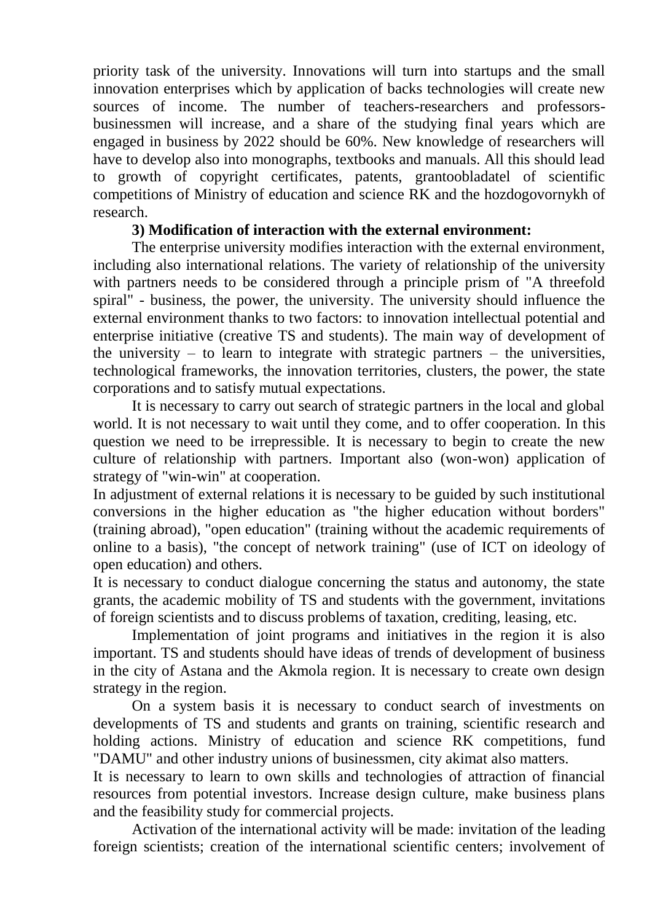priority task of the university. Innovations will turn into startups and the small innovation enterprises which by application of backs technologies will create new sources of income. The number of teachers-researchers and professorsbusinessmen will increase, and a share of the studying final years which are engaged in business by 2022 should be 60%. New knowledge of researchers will have to develop also into monographs, textbooks and manuals. All this should lead to growth of copyright certificates, patents, grantoobladatel of scientific competitions of Ministry of education and science RK and the hozdogovornykh of research.

### **3) Modification of interaction with the external environment:**

The enterprise university modifies interaction with the external environment, including also international relations. The variety of relationship of the university with partners needs to be considered through a principle prism of "A threefold spiral" - business, the power, the university. The university should influence the external environment thanks to two factors: to innovation intellectual potential and enterprise initiative (creative TS and students). The main way of development of the university – to learn to integrate with strategic partners – the universities, technological frameworks, the innovation territories, clusters, the power, the state corporations and to satisfy mutual expectations.

It is necessary to carry out search of strategic partners in the local and global world. It is not necessary to wait until they come, and to offer cooperation. In this question we need to be irrepressible. It is necessary to begin to create the new culture of relationship with partners. Important also (won-won) application of strategy of "win-win" at cooperation.

In adjustment of external relations it is necessary to be guided by such institutional conversions in the higher education as "the higher education without borders" (training abroad), "open education" (training without the academic requirements of online to a basis), "the concept of network training" (use of ICT on ideology of open education) and others.

It is necessary to conduct dialogue concerning the status and autonomy, the state grants, the academic mobility of TS and students with the government, invitations of foreign scientists and to discuss problems of taxation, crediting, leasing, etc.

Implementation of joint programs and initiatives in the region it is also important. TS and students should have ideas of trends of development of business in the city of Astana and the Akmola region. It is necessary to create own design strategy in the region.

On a system basis it is necessary to conduct search of investments on developments of TS and students and grants on training, scientific research and holding actions. Ministry of education and science RK competitions, fund "DAMU" and other industry unions of businessmen, city akimat also matters.

It is necessary to learn to own skills and technologies of attraction of financial resources from potential investors. Increase design culture, make business plans and the feasibility study for commercial projects.

Activation of the international activity will be made: invitation of the leading foreign scientists; creation of the international scientific centers; involvement of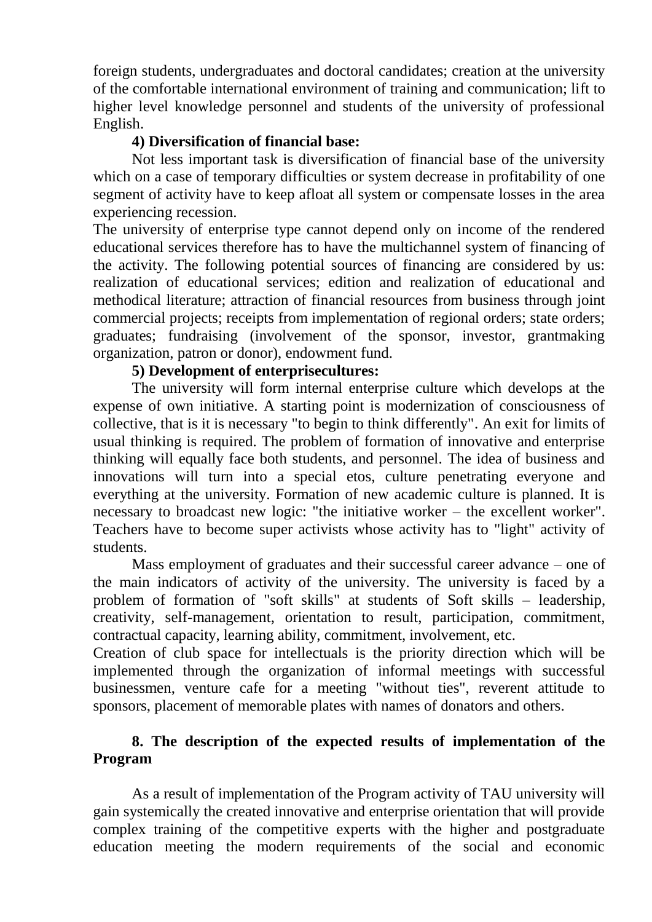foreign students, undergraduates and doctoral candidates; creation at the university of the comfortable international environment of training and communication; lift to higher level knowledge personnel and students of the university of professional English.

### **4) Diversification of financial base:**

Not less important task is diversification of financial base of the university which on a case of temporary difficulties or system decrease in profitability of one segment of activity have to keep afloat all system or compensate losses in the area experiencing recession.

The university of enterprise type cannot depend only on income of the rendered educational services therefore has to have the multichannel system of financing of the activity. The following potential sources of financing are considered by us: realization of educational services; edition and realization of educational and methodical literature; attraction of financial resources from business through joint commercial projects; receipts from implementation of regional orders; state orders; graduates; fundraising (involvement of the sponsor, investor, grantmaking organization, patron or donor), endowment fund.

### **5) Development of enterprisecultures:**

The university will form internal enterprise culture which develops at the expense of own initiative. A starting point is modernization of consciousness of collective, that is it is necessary "to begin to think differently". An exit for limits of usual thinking is required. The problem of formation of innovative and enterprise thinking will equally face both students, and personnel. The idea of business and innovations will turn into a special etos, culture penetrating everyone and everything at the university. Formation of new academic culture is planned. It is necessary to broadcast new logic: "the initiative worker – the excellent worker". Teachers have to become super activists whose activity has to "light" activity of students.

Mass employment of graduates and their successful career advance – one of the main indicators of activity of the university. The university is faced by a problem of formation of "soft skills" at students of Soft skills – leadership, creativity, self-management, orientation to result, participation, commitment, contractual capacity, learning ability, commitment, involvement, etc.

Creation of club space for intellectuals is the priority direction which will be implemented through the organization of informal meetings with successful businessmen, venture cafe for a meeting "without ties", reverent attitude to sponsors, placement of memorable plates with names of donators and others.

## **8. The description of the expected results of implementation of the Program**

As a result of implementation of the Program activity of TAU university will gain systemically the created innovative and enterprise orientation that will provide complex training of the competitive experts with the higher and postgraduate education meeting the modern requirements of the social and economic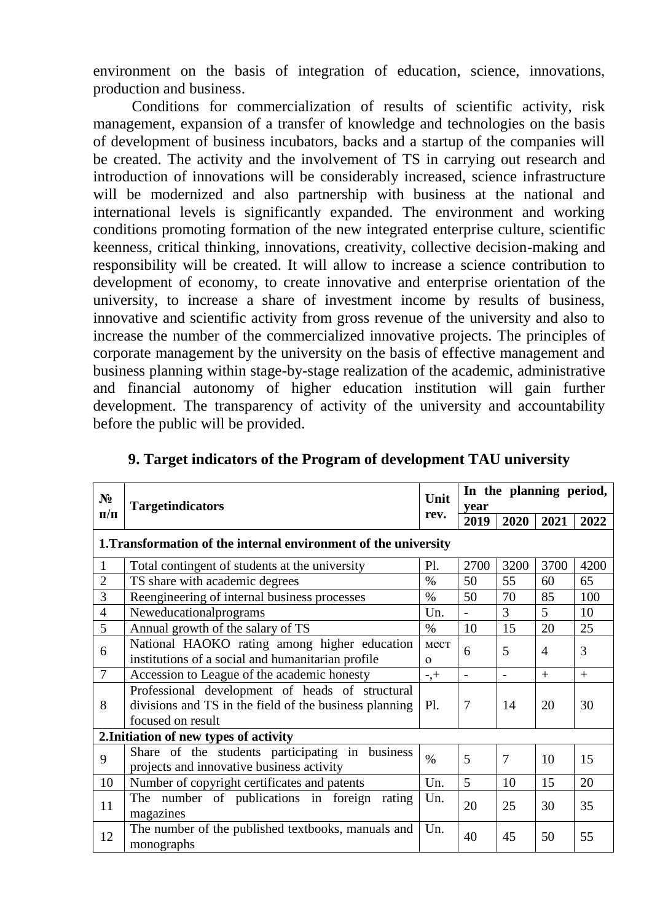environment on the basis of integration of education, science, innovations, production and business.

Conditions for commercialization of results of scientific activity, risk management, expansion of a transfer of knowledge and technologies on the basis of development of business incubators, backs and a startup of the companies will be created. The activity and the involvement of TS in carrying out research and introduction of innovations will be considerably increased, science infrastructure will be modernized and also partnership with business at the national and international levels is significantly expanded. The environment and working conditions promoting formation of the new integrated enterprise culture, scientific keenness, critical thinking, innovations, creativity, collective decision-making and responsibility will be created. It will allow to increase a science contribution to development of economy, to create innovative and enterprise orientation of the university, to increase a share of investment income by results of business, innovative and scientific activity from gross revenue of the university and also to increase the number of the commercialized innovative projects. The principles of corporate management by the university on the basis of effective management and business planning within stage-by-stage realization of the academic, administrative and financial autonomy of higher education institution will gain further development. The transparency of activity of the university and accountability before the public will be provided.

| $N_2$          |                                                                                                                                |                  | In the planning period,  |      |                 |      |
|----------------|--------------------------------------------------------------------------------------------------------------------------------|------------------|--------------------------|------|-----------------|------|
|                | <b>Targetindicators</b>                                                                                                        | Unit<br>rev.     | year                     |      |                 |      |
| $\Pi/\Pi$      |                                                                                                                                |                  | 2019                     | 2020 | 2021            | 2022 |
|                | 1. Transformation of the internal environment of the university                                                                |                  |                          |      |                 |      |
|                | Total contingent of students at the university                                                                                 | Pl.              | 2700                     | 3200 | 3700            | 4200 |
| $\overline{2}$ | TS share with academic degrees                                                                                                 | $\%$             | 50                       | 55   | 60              | 65   |
| 3              | Reengineering of internal business processes                                                                                   | $\%$             | 50                       | 70   | 85              | 100  |
| $\overline{4}$ | Neweducationalprograms                                                                                                         | Un.              | $\overline{\phantom{0}}$ | 3    | $5\overline{)}$ | 10   |
| 5              | Annual growth of the salary of TS                                                                                              | $\%$             | 10                       | 15   | 20              | 25   |
| 6              | National HAOKO rating among higher education<br>institutions of a social and humanitarian profile                              | мест<br>$\Omega$ | 6                        | 5    | $\overline{4}$  | 3    |
| $\overline{7}$ | Accession to League of the academic honesty                                                                                    | $-$ , $+$        |                          |      | $+$             | $+$  |
| 8              | Professional development of heads of structural<br>divisions and TS in the field of the business planning<br>focused on result | P1.              | 7                        | 14   | 20              | 30   |
|                | 2. Initiation of new types of activity                                                                                         |                  |                          |      |                 |      |
| 9              | Share of the students participating in business<br>projects and innovative business activity                                   | $\frac{0}{0}$    | 5                        | 7    | 10              | 15   |
| 10             | Number of copyright certificates and patents                                                                                   | Un.              | 5                        | 10   | 15              | 20   |
| 11             | The number of publications in foreign<br>rating<br>magazines                                                                   | Un.              | 20                       | 25   | 30              | 35   |
| 12             | The number of the published textbooks, manuals and<br>monographs                                                               | Un.              | 40                       | 45   | 50              | 55   |

| 9. Target indicators of the Program of development TAU university |  |  |
|-------------------------------------------------------------------|--|--|
|                                                                   |  |  |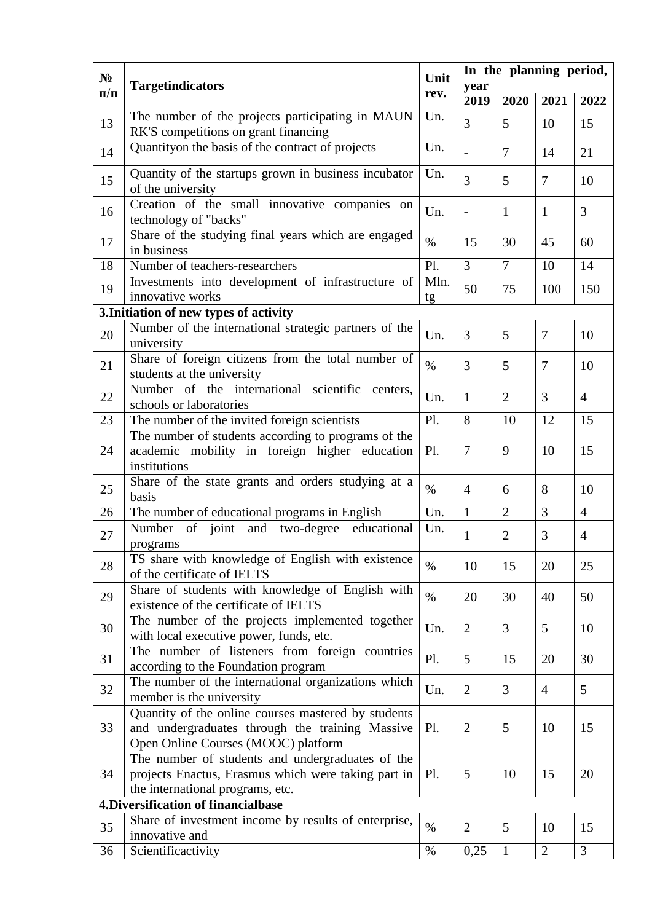| $N_2$     |                                                                                                                                               | Unit       | In the planning period, |                |                |                |
|-----------|-----------------------------------------------------------------------------------------------------------------------------------------------|------------|-------------------------|----------------|----------------|----------------|
| $\Pi/\Pi$ | <b>Targetindicators</b>                                                                                                                       |            | year                    |                |                |                |
|           |                                                                                                                                               | rev.       | 2019                    | 2020           | 2021           | 2022           |
| 13        | The number of the projects participating in MAUN<br>RK'S competitions on grant financing                                                      | Un.        | 3                       | 5              | 10             | 15             |
| 14        | Quantityon the basis of the contract of projects                                                                                              | Un.        |                         | $\overline{7}$ | 14             | 21             |
| 15        | Quantity of the startups grown in business incubator<br>of the university                                                                     | Un.        | 3                       | 5              | $\overline{7}$ | 10             |
| 16        | Creation of the small innovative companies on<br>technology of "backs"                                                                        | Un.        | $\overline{a}$          | $\mathbf{1}$   | $\mathbf{1}$   | 3              |
| 17        | Share of the studying final years which are engaged<br>in business                                                                            | $\%$       | 15                      | 30             | 45             | 60             |
| 18        | Number of teachers-researchers                                                                                                                | Pl.        | $\overline{3}$          | $\overline{7}$ | 10             | 14             |
| 19        | Investments into development of infrastructure of<br>innovative works                                                                         | Mln.<br>tg | 50                      | 75             | 100            | 150            |
|           | 3. Initiation of new types of activity                                                                                                        |            |                         |                |                |                |
| 20        | Number of the international strategic partners of the<br>university                                                                           | Un.        | $\overline{3}$          | 5              | $\overline{7}$ | 10             |
| 21        | Share of foreign citizens from the total number of<br>students at the university                                                              | $\%$       | 3                       | 5              | 7              | 10             |
| 22        | Number of the international scientific<br>centers,<br>schools or laboratories                                                                 | Un.        | 1                       | $\overline{2}$ | 3              | $\overline{4}$ |
| 23        | The number of the invited foreign scientists                                                                                                  | Pl.        | 8                       | 10             | 12             | 15             |
| 24        | The number of students according to programs of the<br>academic mobility in foreign higher education<br>institutions                          | Pl.        | $\overline{7}$          | 9              | 10             | 15             |
| 25        | Share of the state grants and orders studying at a<br>basis                                                                                   | $\%$       | $\overline{4}$          | 6              | 8              | 10             |
| 26        | The number of educational programs in English                                                                                                 | Un.        | $\mathbf{1}$            | $\overline{2}$ | 3              | $\overline{4}$ |
| 27        | and two-degree educational<br>Number<br>of joint<br>programs                                                                                  | Un.        | 1                       | $\overline{2}$ | 3              | $\overline{4}$ |
| 28        | TS share with knowledge of English with existence<br>of the certificate of IELTS                                                              | $\%$       | 10                      | 15             | 20             | 25             |
| 29        | Share of students with knowledge of English with<br>existence of the certificate of IELTS                                                     | $\%$       | 20                      | 30             | 40             | 50             |
| 30        | The number of the projects implemented together<br>with local executive power, funds, etc.                                                    | Un.        | $\overline{2}$          | 3              | 5              | 10             |
| 31        | The number of listeners from foreign countries<br>according to the Foundation program                                                         | Pl.        | $5\overline{)}$         | 15             | 20             | 30             |
| 32        | The number of the international organizations which<br>member is the university                                                               | Un.        | $\overline{2}$          | 3              | $\overline{4}$ | 5              |
| 33        | Quantity of the online courses mastered by students<br>and undergraduates through the training Massive<br>Open Online Courses (MOOC) platform | Pl.        | $\overline{2}$          | 5              | 10             | 15             |
| 34        | The number of students and undergraduates of the<br>projects Enactus, Erasmus which were taking part in<br>the international programs, etc.   | Pl.        | 5                       | 10             | 15             | 20             |
|           | 4. Diversification of financialbase                                                                                                           |            |                         |                |                |                |
| 35        | Share of investment income by results of enterprise,<br>innovative and                                                                        | $\%$       | $\overline{2}$          | 5              | 10             | 15             |
| 36        | Scientificactivity                                                                                                                            | $\%$       | 0,25                    | $\mathbf{1}$   | $\overline{2}$ | 3              |